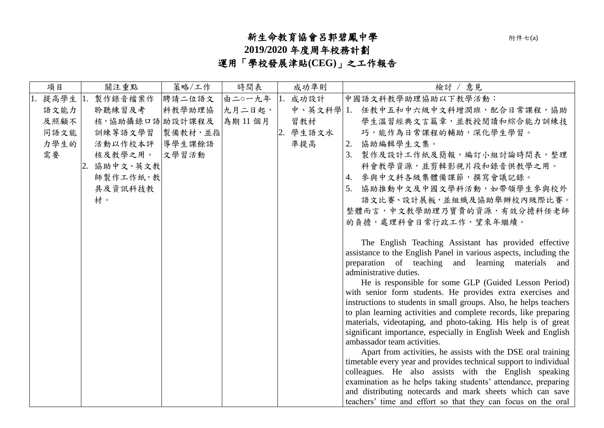## 新生命教育協會呂郭碧鳳中學附件七(a)

**2019/2020** 年度周年校務計劃

運用「學校發展津貼**(CEG)**」之工作報告

| 項目   | 關注重點            | 策略/工作   | 時間表    | 成功準則     | 檢討 / 意見                                                                                                                    |
|------|-----------------|---------|--------|----------|----------------------------------------------------------------------------------------------------------------------------|
| 提高學生 | 製作錄音檔案作         | 聘請二位語文  | 由二0一九年 | 成功設計     | 中國語文科教學助理協助以下教學活動:                                                                                                         |
| 語文能力 | 聆聽練習及考          | 科教學助理協  | 九月二日起, |          | 中、英文科學 1. 任教中五和中六級中文科增潤班,配合日常課程,協助                                                                                         |
| 及照顧不 | 核,協助攝錄口語 助設計課程及 |         | 為期11個月 | 習教材      | 學生溫習經典文言篇章,並教授閱讀和綜合能力訓練技                                                                                                   |
| 同語文能 | 訓練等語文學習         | 製備教材,並指 |        | 2. 學生語文水 | 巧,能作為日常課程的輔助,深化學生學習。                                                                                                       |
| 力學生的 | 活動以作校本評         | 導學生課餘語  |        | 準提高      | 協助編輯學生文集。<br>2.                                                                                                            |
| 需要   | 核及教學之用。         | 文學習活動   |        |          | 製作及設計工作紙及簡報,編訂小組討論時間表,整理<br>3.                                                                                             |
|      | 2. 協助中文、英文教     |         |        |          | 科會教學資源,並剪輯影視片段和錄音供教學之用。                                                                                                    |
|      | 師製作工作紙,教        |         |        |          | 4. 参與中文科各級集體備課節,撰寫會議記錄。                                                                                                    |
|      | 具及資訊科技教         |         |        |          | 5. 協助推動中文及中國文學科活動,如帶領學生參與校外                                                                                                |
|      | 材。              |         |        |          | 語文比賽、設計展板,並組織及協助舉辦校內級際比賽。                                                                                                  |
|      |                 |         |        |          | 整體而言,中文教學助理乃寶貴的資源,有效分擔科任老師                                                                                                 |
|      |                 |         |        |          | 的負擔,處理科會日常行政工作,望來年繼續。                                                                                                      |
|      |                 |         |        |          |                                                                                                                            |
|      |                 |         |        |          | The English Teaching Assistant has provided effective                                                                      |
|      |                 |         |        |          | assistance to the English Panel in various aspects, including the                                                          |
|      |                 |         |        |          | preparation of teaching and learning materials and<br>administrative duties.                                               |
|      |                 |         |        |          | He is responsible for some GLP (Guided Lesson Period)                                                                      |
|      |                 |         |        |          | with senior form students. He provides extra exercises and                                                                 |
|      |                 |         |        |          | instructions to students in small groups. Also, he helps teachers                                                          |
|      |                 |         |        |          | to plan learning activities and complete records, like preparing                                                           |
|      |                 |         |        |          | materials, videotaping, and photo-taking. His help is of great                                                             |
|      |                 |         |        |          | significant importance, especially in English Week and English                                                             |
|      |                 |         |        |          | ambassador team activities.                                                                                                |
|      |                 |         |        |          | Apart from activities, he assists with the DSE oral training                                                               |
|      |                 |         |        |          | timetable every year and provides technical support to individual<br>colleagues. He also assists with the English speaking |
|      |                 |         |        |          | examination as he helps taking students' attendance, preparing                                                             |
|      |                 |         |        |          | and distributing notecards and mark sheets which can save                                                                  |
|      |                 |         |        |          | teachers' time and effort so that they can focus on the oral                                                               |